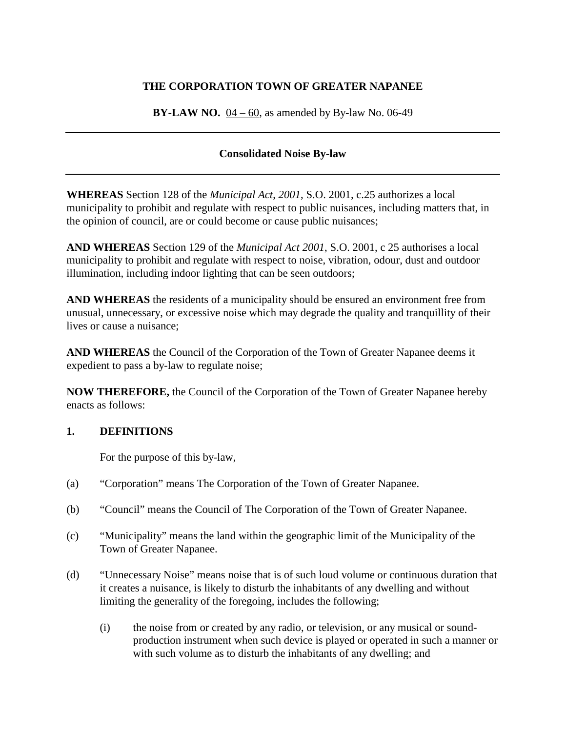# **THE CORPORATION TOWN OF GREATER NAPANEE**

**BY-LAW NO.**  $04 - 60$ , as amended by By-law No. 06-49

# **Consolidated Noise By-law**

**WHEREAS** Section 128 of the *Municipal Act*, *2001*, S.O. 2001, c.25 authorizes a local municipality to prohibit and regulate with respect to public nuisances, including matters that, in the opinion of council, are or could become or cause public nuisances;

**AND WHEREAS** Section 129 of the *Municipal Act 2001*, S.O. 2001, c 25 authorises a local municipality to prohibit and regulate with respect to noise, vibration, odour, dust and outdoor illumination, including indoor lighting that can be seen outdoors;

**AND WHEREAS** the residents of a municipality should be ensured an environment free from unusual, unnecessary, or excessive noise which may degrade the quality and tranquillity of their lives or cause a nuisance;

**AND WHEREAS** the Council of the Corporation of the Town of Greater Napanee deems it expedient to pass a by-law to regulate noise;

**NOW THEREFORE,** the Council of the Corporation of the Town of Greater Napanee hereby enacts as follows:

## **1. DEFINITIONS**

For the purpose of this by-law,

- (a) "Corporation" means The Corporation of the Town of Greater Napanee.
- (b) "Council" means the Council of The Corporation of the Town of Greater Napanee.
- (c) "Municipality" means the land within the geographic limit of the Municipality of the Town of Greater Napanee.
- (d) "Unnecessary Noise" means noise that is of such loud volume or continuous duration that it creates a nuisance, is likely to disturb the inhabitants of any dwelling and without limiting the generality of the foregoing, includes the following;
	- (i) the noise from or created by any radio, or television, or any musical or soundproduction instrument when such device is played or operated in such a manner or with such volume as to disturb the inhabitants of any dwelling; and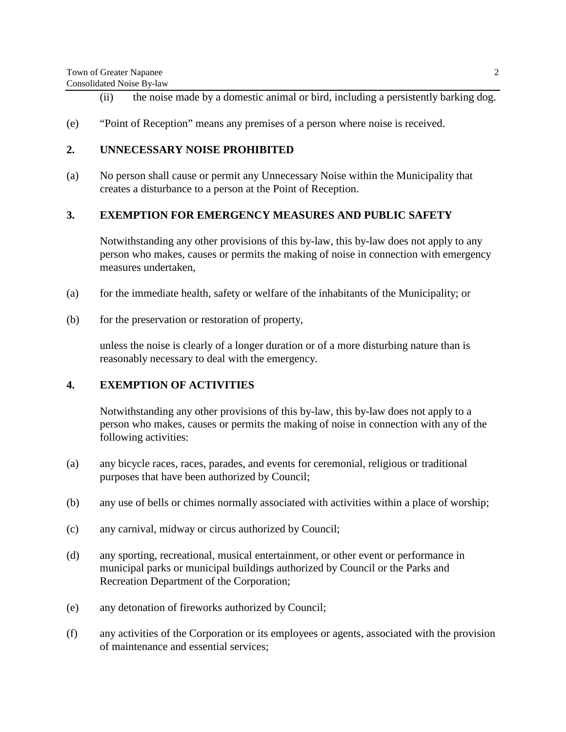- (ii) the noise made by a domestic animal or bird, including a persistently barking dog.
- (e) "Point of Reception" means any premises of a person where noise is received.

## **2. UNNECESSARY NOISE PROHIBITED**

(a) No person shall cause or permit any Unnecessary Noise within the Municipality that creates a disturbance to a person at the Point of Reception.

#### **3. EXEMPTION FOR EMERGENCY MEASURES AND PUBLIC SAFETY**

Notwithstanding any other provisions of this by-law, this by-law does not apply to any person who makes, causes or permits the making of noise in connection with emergency measures undertaken,

- (a) for the immediate health, safety or welfare of the inhabitants of the Municipality; or
- (b) for the preservation or restoration of property,

unless the noise is clearly of a longer duration or of a more disturbing nature than is reasonably necessary to deal with the emergency.

#### **4. EXEMPTION OF ACTIVITIES**

Notwithstanding any other provisions of this by-law, this by-law does not apply to a person who makes, causes or permits the making of noise in connection with any of the following activities:

- (a) any bicycle races, races, parades, and events for ceremonial, religious or traditional purposes that have been authorized by Council;
- (b) any use of bells or chimes normally associated with activities within a place of worship;
- (c) any carnival, midway or circus authorized by Council;
- (d) any sporting, recreational, musical entertainment, or other event or performance in municipal parks or municipal buildings authorized by Council or the Parks and Recreation Department of the Corporation;
- (e) any detonation of fireworks authorized by Council;
- (f) any activities of the Corporation or its employees or agents, associated with the provision of maintenance and essential services;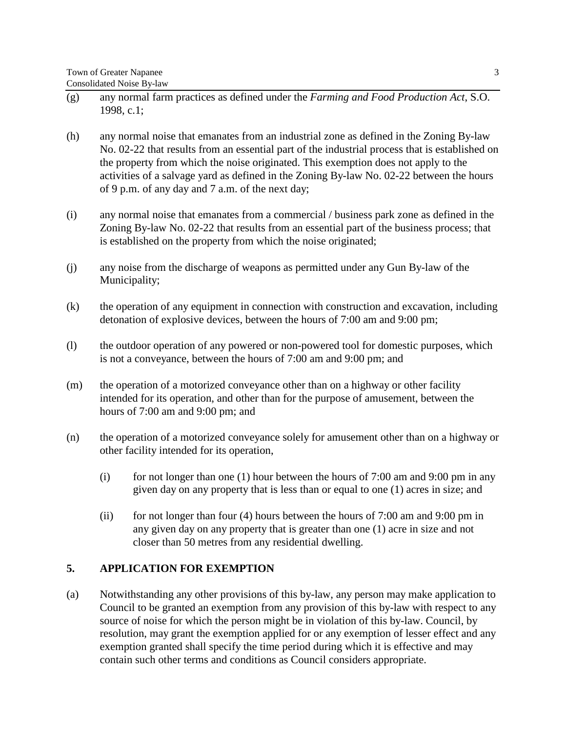- (g) any normal farm practices as defined under the *Farming and Food Production Act*, S.O. 1998, c.1;
- (h) any normal noise that emanates from an industrial zone as defined in the Zoning By-law No. 02-22 that results from an essential part of the industrial process that is established on the property from which the noise originated. This exemption does not apply to the activities of a salvage yard as defined in the Zoning By-law No. 02-22 between the hours of 9 p.m. of any day and 7 a.m. of the next day;
- (i) any normal noise that emanates from a commercial / business park zone as defined in the Zoning By-law No. 02-22 that results from an essential part of the business process; that is established on the property from which the noise originated;
- (j) any noise from the discharge of weapons as permitted under any Gun By-law of the Municipality;
- (k) the operation of any equipment in connection with construction and excavation, including detonation of explosive devices, between the hours of 7:00 am and 9:00 pm;
- (l) the outdoor operation of any powered or non-powered tool for domestic purposes, which is not a conveyance, between the hours of 7:00 am and 9:00 pm; and
- (m) the operation of a motorized conveyance other than on a highway or other facility intended for its operation, and other than for the purpose of amusement, between the hours of 7:00 am and 9:00 pm; and
- (n) the operation of a motorized conveyance solely for amusement other than on a highway or other facility intended for its operation,
	- (i) for not longer than one (1) hour between the hours of  $7:00$  am and  $9:00$  pm in any given day on any property that is less than or equal to one (1) acres in size; and
	- (ii) for not longer than four  $(4)$  hours between the hours of 7:00 am and 9:00 pm in any given day on any property that is greater than one (1) acre in size and not closer than 50 metres from any residential dwelling.

## **5. APPLICATION FOR EXEMPTION**

(a) Notwithstanding any other provisions of this by-law, any person may make application to Council to be granted an exemption from any provision of this by-law with respect to any source of noise for which the person might be in violation of this by-law. Council, by resolution, may grant the exemption applied for or any exemption of lesser effect and any exemption granted shall specify the time period during which it is effective and may contain such other terms and conditions as Council considers appropriate.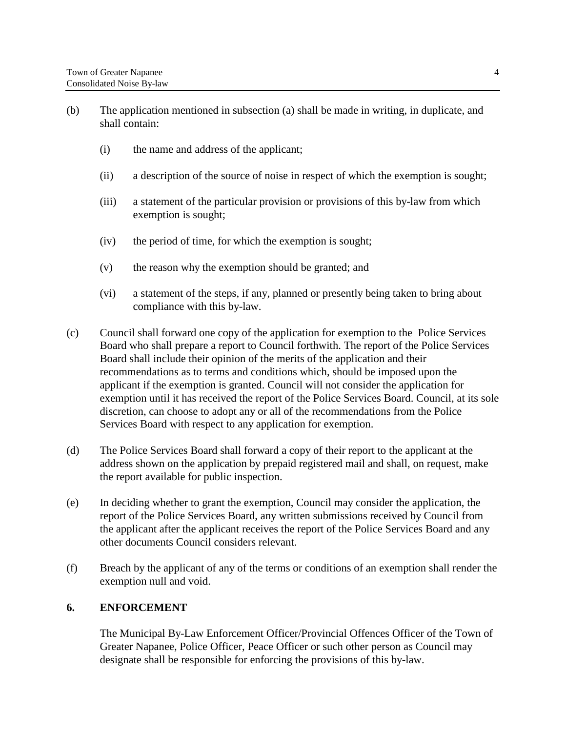- (b) The application mentioned in subsection (a) shall be made in writing, in duplicate, and shall contain:
	- (i) the name and address of the applicant;
	- (ii) a description of the source of noise in respect of which the exemption is sought;
	- (iii) a statement of the particular provision or provisions of this by-law from which exemption is sought;
	- (iv) the period of time, for which the exemption is sought;
	- (v) the reason why the exemption should be granted; and
	- (vi) a statement of the steps, if any, planned or presently being taken to bring about compliance with this by-law.
- (c) Council shall forward one copy of the application for exemption to the Police Services Board who shall prepare a report to Council forthwith. The report of the Police Services Board shall include their opinion of the merits of the application and their recommendations as to terms and conditions which, should be imposed upon the applicant if the exemption is granted. Council will not consider the application for exemption until it has received the report of the Police Services Board. Council, at its sole discretion, can choose to adopt any or all of the recommendations from the Police Services Board with respect to any application for exemption.
- (d) The Police Services Board shall forward a copy of their report to the applicant at the address shown on the application by prepaid registered mail and shall, on request, make the report available for public inspection.
- (e) In deciding whether to grant the exemption, Council may consider the application, the report of the Police Services Board, any written submissions received by Council from the applicant after the applicant receives the report of the Police Services Board and any other documents Council considers relevant.
- (f) Breach by the applicant of any of the terms or conditions of an exemption shall render the exemption null and void.

## **6. ENFORCEMENT**

The Municipal By-Law Enforcement Officer/Provincial Offences Officer of the Town of Greater Napanee, Police Officer, Peace Officer or such other person as Council may designate shall be responsible for enforcing the provisions of this by-law.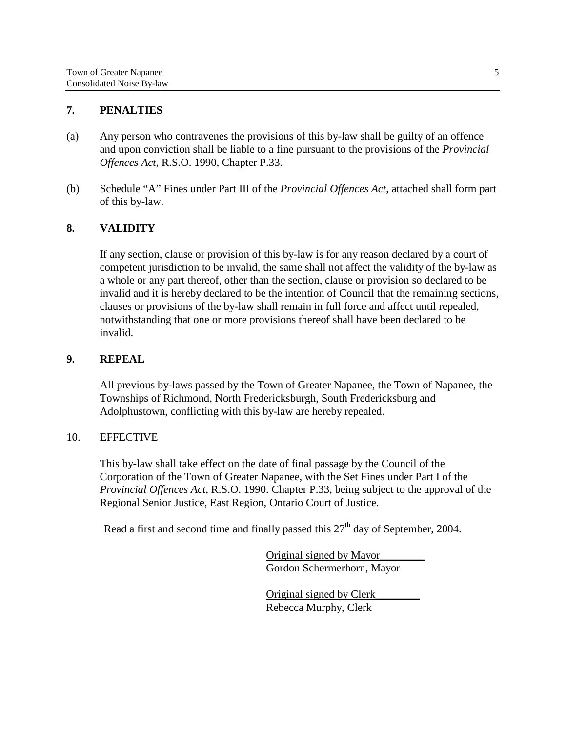## **7. PENALTIES**

- (a) Any person who contravenes the provisions of this by-law shall be guilty of an offence and upon conviction shall be liable to a fine pursuant to the provisions of the *Provincial Offences Act*, R.S.O. 1990, Chapter P.33.
- (b) Schedule "A" Fines under Part III of the *Provincial Offences Act*, attached shall form part of this by-law.

## **8. VALIDITY**

If any section, clause or provision of this by-law is for any reason declared by a court of competent jurisdiction to be invalid, the same shall not affect the validity of the by-law as a whole or any part thereof, other than the section, clause or provision so declared to be invalid and it is hereby declared to be the intention of Council that the remaining sections, clauses or provisions of the by-law shall remain in full force and affect until repealed, notwithstanding that one or more provisions thereof shall have been declared to be invalid.

#### **9. REPEAL**

All previous by-laws passed by the Town of Greater Napanee, the Town of Napanee, the Townships of Richmond, North Fredericksburgh, South Fredericksburg and Adolphustown, conflicting with this by-law are hereby repealed.

#### 10. EFFECTIVE

This by-law shall take effect on the date of final passage by the Council of the Corporation of the Town of Greater Napanee, with the Set Fines under Part I of the *Provincial Offences Act,* R.S.O. 1990. Chapter P.33, being subject to the approval of the Regional Senior Justice, East Region, Ontario Court of Justice.

Read a first and second time and finally passed this  $27<sup>th</sup>$  day of September, 2004.

Original signed by Mayor\_\_\_\_\_\_\_\_ Gordon Schermerhorn, Mayor

Original signed by Clerk\_\_\_\_\_\_\_\_ Rebecca Murphy, Clerk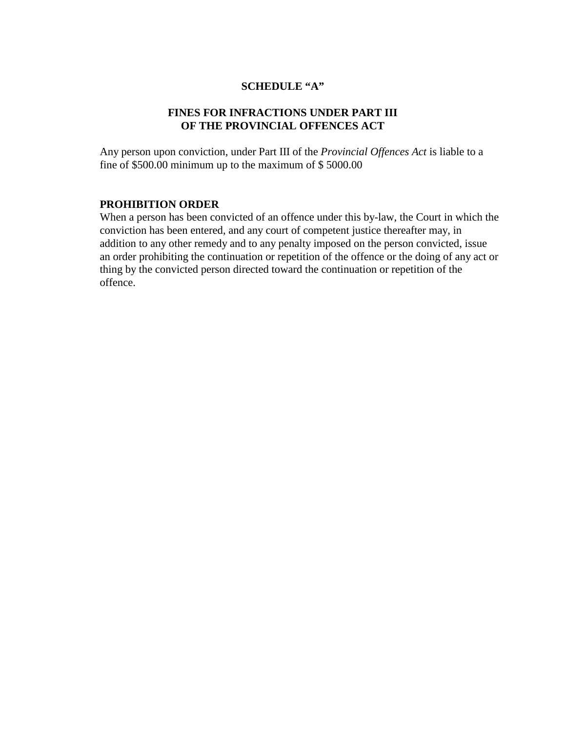## **SCHEDULE "A"**

# **FINES FOR INFRACTIONS UNDER PART III OF THE PROVINCIAL OFFENCES ACT**

Any person upon conviction, under Part III of the *Provincial Offences Act* is liable to a fine of \$500.00 minimum up to the maximum of \$ 5000.00

## **PROHIBITION ORDER**

When a person has been convicted of an offence under this by-law, the Court in which the conviction has been entered, and any court of competent justice thereafter may, in addition to any other remedy and to any penalty imposed on the person convicted, issue an order prohibiting the continuation or repetition of the offence or the doing of any act or thing by the convicted person directed toward the continuation or repetition of the offence.